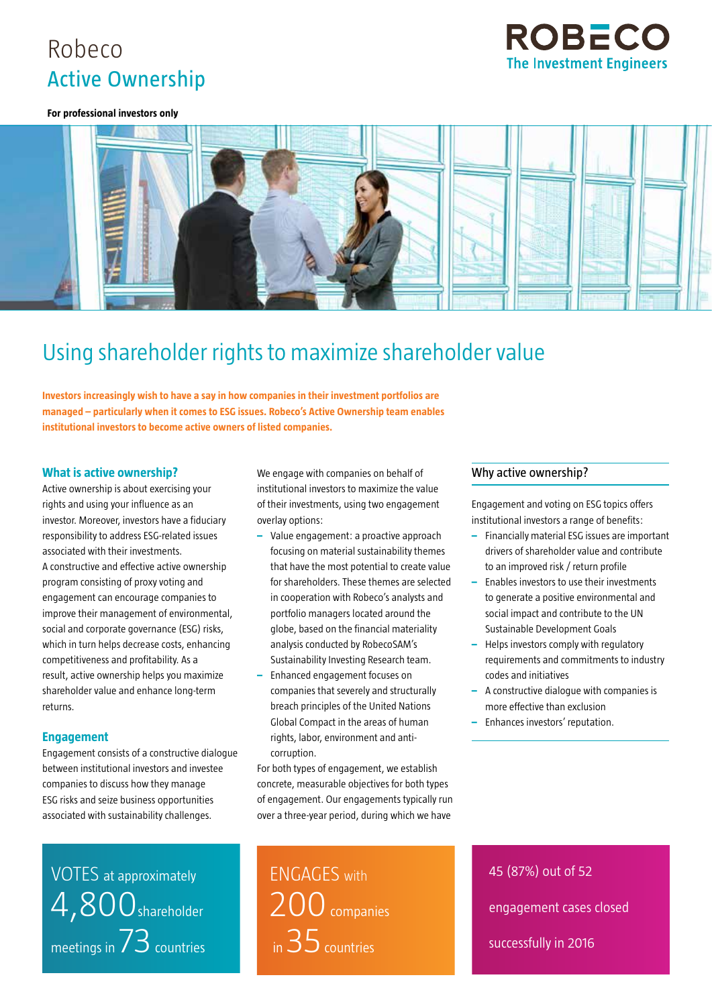# Robeco Active Ownership



#### **For professional investors only**



# Using shareholder rights to maximize shareholder value

**Investors increasingly wish to have a say in how companies in their investment portfolios are managed – particularly when it comes to ESG issues. Robeco's Active Ownership team enables institutional investors to become active owners of listed companies.**

### **What is active ownership?**

Active ownership is about exercising your rights and using your influence as an investor. Moreover, investors have a fiduciary responsibility to address ESG-related issues associated with their investments. A constructive and effective active ownership program consisting of proxy voting and engagement can encourage companies to improve their management of environmental, social and corporate governance (ESG) risks, which in turn helps decrease costs, enhancing competitiveness and profitability. As a result, active ownership helps you maximize shareholder value and enhance long-term returns.

### **Engagement**

Engagement consists of a constructive dialogue between institutional investors and investee companies to discuss how they manage ESG risks and seize business opportunities associated with sustainability challenges.

VOTES at approximately 4,800shareholder meetings in  $73$  countries We engage with companies on behalf of institutional investors to maximize the value of their investments, using two engagement overlay options:

- **–** Value engagement: a proactive approach focusing on material sustainability themes that have the most potential to create value for shareholders. These themes are selected in cooperation with Robeco's analysts and portfolio managers located around the globe, based on the financial materiality analysis conducted by RobecoSAM's Sustainability Investing Research team.
- **–** Enhanced engagement focuses on companies that severely and structurally breach principles of the United Nations Global Compact in the areas of human rights, labor, environment and anticorruption.

For both types of engagement, we establish concrete, measurable objectives for both types of engagement. Our engagements typically run over a three-year period, during which we have

ENGAGES with 200 companies in 35 countries

Why active ownership?

Engagement and voting on ESG topics offers institutional investors a range of benefits:

- **–** Financially material ESG issues are important drivers of shareholder value and contribute to an improved risk / return profile
- **–** Enables investors to use their investments to generate a positive environmental and social impact and contribute to the UN Sustainable Development Goals
- **–** Helps investors comply with regulatory requirements and commitments to industry codes and initiatives
- **–** A constructive dialogue with companies is more effective than exclusion
- **–** Enhances investors' reputation.

45 (87%) out of 52 engagement cases closed successfully in 2016